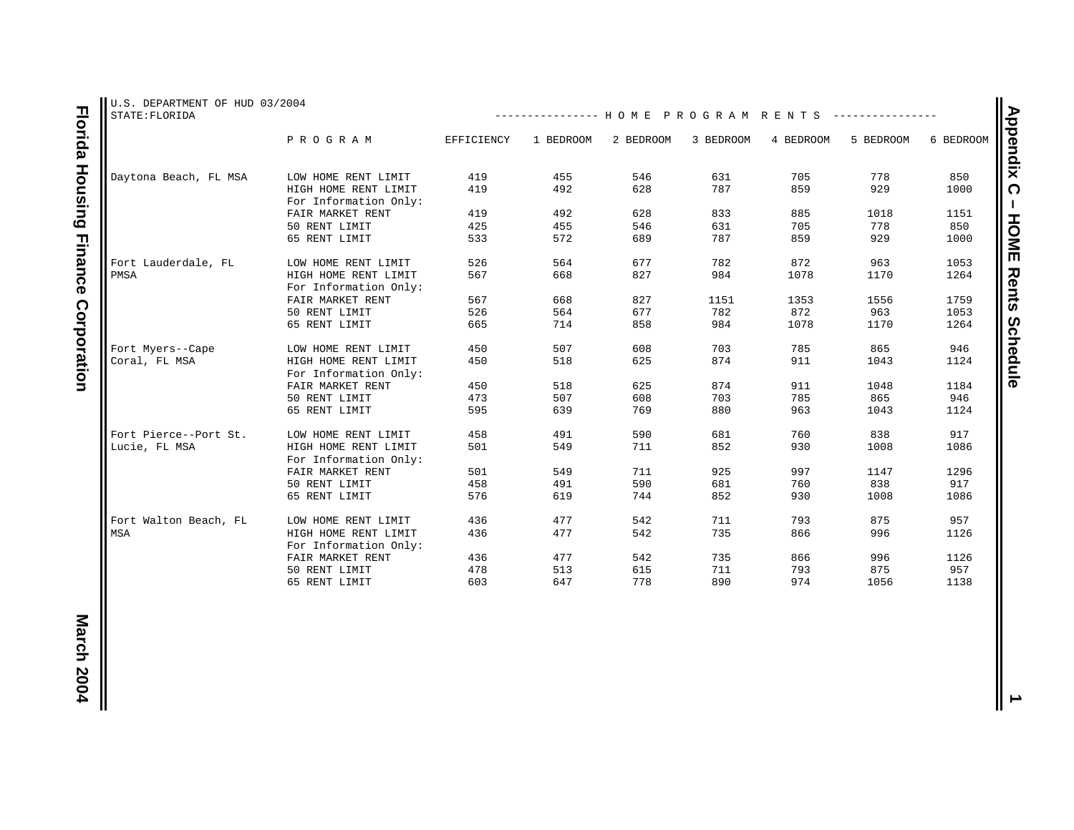| U.S. DEPARTMENT OF HUD 03/2004<br>STATE: FLORIDA |                                               |            | --------------- HOME PROGRAM RENTS |           |           |           |           |           |
|--------------------------------------------------|-----------------------------------------------|------------|------------------------------------|-----------|-----------|-----------|-----------|-----------|
|                                                  | PROGRAM                                       | EFFICIENCY | 1 BEDROOM                          | 2 BEDROOM | 3 BEDROOM | 4 BEDROOM | 5 BEDROOM | 6 BEDROOM |
| Daytona Beach, FL MSA                            | LOW HOME RENT LIMIT                           | 419        | 455                                | 546       | 631       | 705       | 778       | 850       |
|                                                  | HIGH HOME RENT LIMIT<br>For Information Only: | 419        | 492                                | 628       | 787       | 859       | 929       | 1000      |
|                                                  | FAIR MARKET RENT                              | 419        | 492                                | 628       | 833       | 885       | 1018      | 1151      |
|                                                  | 50 RENT LIMIT                                 | 425        | 455                                | 546       | 631       | 705       | 778       | 850       |
|                                                  | 65 RENT LIMIT                                 | 533        | 572                                | 689       | 787       | 859       | 929       | 1000      |
| Fort Lauderdale, FL                              | LOW HOME RENT LIMIT                           | 526        | 564                                | 677       | 782       | 872       | 963       | 1053      |
| PMSA                                             | HIGH HOME RENT LIMIT<br>For Information Only: | 567        | 668                                | 827       | 984       | 1078      | 1170      | 1264      |
|                                                  | FAIR MARKET RENT                              | 567        | 668                                | 827       | 1151      | 1353      | 1556      | 1759      |
|                                                  | 50 RENT LIMIT                                 | 526        | 564                                | 677       | 782       | 872       | 963       | 1053      |
|                                                  | 65 RENT LIMIT                                 | 665        | 714                                | 858       | 984       | 1078      | 1170      | 1264      |
| Fort Myers--Cape                                 | LOW HOME RENT LIMIT                           | 450        | 507                                | 608       | 703       | 785       | 865       | 946       |
| Coral, FL MSA                                    | HIGH HOME RENT LIMIT<br>For Information Only: | 450        | 518                                | 625       | 874       | 911       | 1043      | 1124      |
|                                                  | FAIR MARKET RENT                              | 450        | 518                                | 625       | 874       | 911       | 1048      | 1184      |
|                                                  | 50 RENT LIMIT                                 | 473        | 507                                | 608       | 703       | 785       | 865       | 946       |
|                                                  | 65 RENT LIMIT                                 | 595        | 639                                | 769       | 880       | 963       | 1043      | 1124      |
| Fort Pierce--Port St.                            | LOW HOME RENT LIMIT                           | 458        | 491                                | 590       | 681       | 760       | 838       | 917       |
| Lucie, FL MSA                                    | HIGH HOME RENT LIMIT<br>For Information Only: | 501        | 549                                | 711       | 852       | 930       | 1008      | 1086      |
|                                                  | FAIR MARKET RENT                              | 501        | 549                                | 711       | 925       | 997       | 1147      | 1296      |
|                                                  | 50 RENT LIMIT                                 | 458        | 491                                | 590       | 681       | 760       | 838       | 917       |
|                                                  | 65 RENT LIMIT                                 | 576        | 619                                | 744       | 852       | 930       | 1008      | 1086      |
| Fort Walton Beach, FL                            | LOW HOME RENT LIMIT                           | 436        | 477                                | 542       | 711       | 793       | 875       | 957       |
| MSA                                              | HIGH HOME RENT LIMIT<br>For Information Only: | 436        | 477                                | 542       | 735       | 866       | 996       | 1126      |
|                                                  | FAIR MARKET RENT                              | 436        | 477                                | 542       | 735       | 866       | 996       | 1126      |
|                                                  | 50 RENT LIMIT                                 | 478        | 513                                | 615       | 711       | 793       | 875       | 957       |
|                                                  | 65 RENT LIMIT                                 | 603        | 647                                | 778       | 890       | 974       | 1056      | 1138      |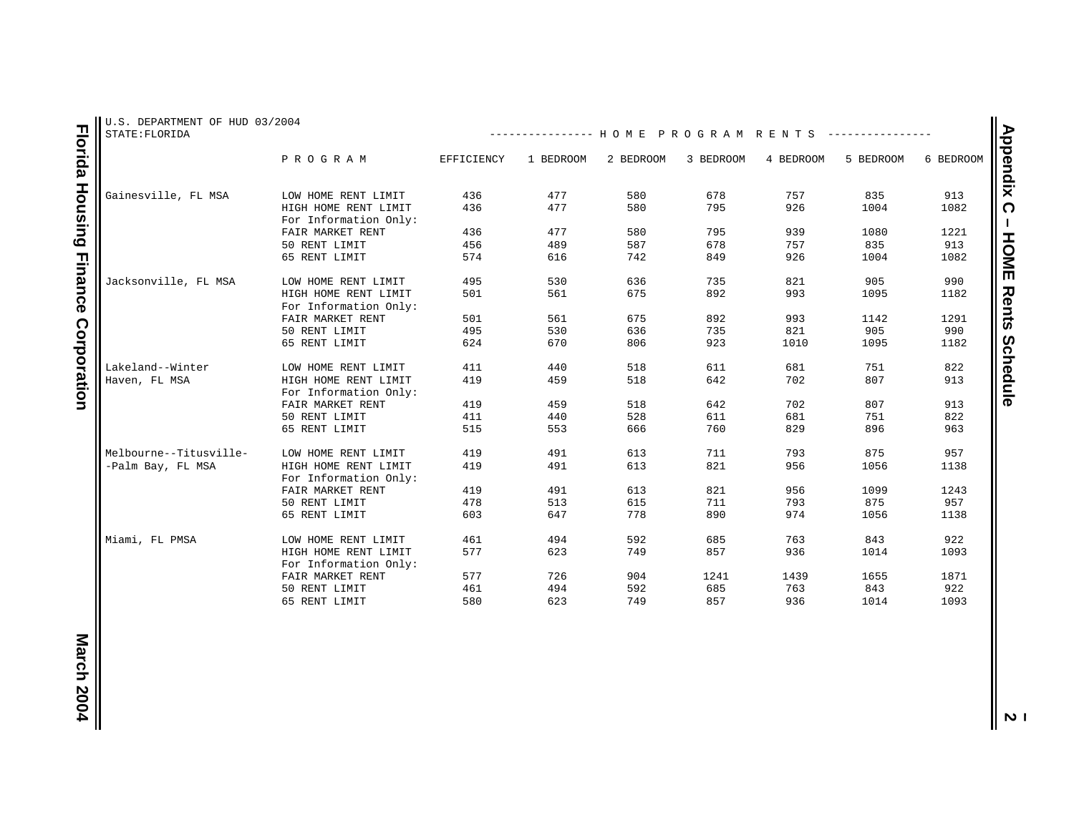| STATE: FLORIDA         |                       |            | -------------- HOME PROGRAM RENTS |           |           |           |           |           |
|------------------------|-----------------------|------------|-----------------------------------|-----------|-----------|-----------|-----------|-----------|
|                        | PROGRAM               | EFFICIENCY | 1 BEDROOM                         | 2 BEDROOM | 3 BEDROOM | 4 BEDROOM | 5 BEDROOM | 6 BEDROOM |
| Gainesville, FL MSA    | LOW HOME RENT LIMIT   | 436        | 477                               | 580       | 678       | 757       | 835       | 913       |
|                        | HIGH HOME RENT LIMIT  | 436        | 477                               | 580       | 795       | 926       | 1004      | 1082      |
|                        | For Information Only: |            |                                   |           |           |           |           |           |
|                        | FAIR MARKET RENT      | 436        | 477                               | 580       | 795       | 939       | 1080      | 1221      |
|                        | 50 RENT LIMIT         | 456        | 489                               | 587       | 678       | 757       | 835       | 913       |
|                        | 65 RENT LIMIT         | 574        | 616                               | 742       | 849       | 926       | 1004      | 1082      |
|                        |                       |            |                                   |           |           |           |           |           |
| Jacksonville, FL MSA   | LOW HOME RENT LIMIT   | 495        | 530                               | 636       | 735       | 821       | 905       | 990       |
|                        | HIGH HOME RENT LIMIT  | 501        | 561                               | 675       | 892       | 993       | 1095      | 1182      |
|                        | For Information Only: |            |                                   |           |           |           |           |           |
|                        | FAIR MARKET RENT      | 501        | 561                               | 675       | 892       | 993       | 1142      | 1291      |
|                        | 50 RENT LIMIT         | 495        | 530                               | 636       | 735       | 821       | 905       | 990       |
|                        | 65 RENT LIMIT         | 624        | 670                               | 806       | 923       | 1010      | 1095      | 1182      |
|                        |                       |            |                                   |           |           |           |           |           |
| Lakeland--Winter       | LOW HOME RENT LIMIT   | 411        | 440                               | 518       | 611       | 681       | 751       | 822       |
| Haven, FL MSA          | HIGH HOME RENT LIMIT  | 419        | 459                               | 518       | 642       | 702       | 807       | 913       |
|                        | For Information Only: |            |                                   |           |           |           |           |           |
|                        | FAIR MARKET RENT      | 419        | 459                               | 518       | 642       | 702       | 807       | 913       |
|                        | 50 RENT LIMIT         | 411        | 440                               | 528       | 611       | 681       | 751       | 822       |
|                        | 65 RENT LIMIT         | 515        | 553                               | 666       | 760       | 829       | 896       | 963       |
|                        |                       |            |                                   |           |           |           |           |           |
| Melbourne--Titusville- | LOW HOME RENT LIMIT   | 419        | 491                               | 613       | 711       | 793       | 875       | 957       |
| -Palm Bay, FL MSA      | HIGH HOME RENT LIMIT  | 419        | 491                               | 613       | 821       | 956       | 1056      | 1138      |
|                        | For Information Only: |            |                                   |           |           |           |           |           |
|                        | FAIR MARKET RENT      | 419        | 491                               | 613       | 821       | 956       | 1099      | 1243      |
|                        | 50 RENT LIMIT         | 478        | 513                               | 615       | 711       | 793       | 875       | 957       |
|                        | 65 RENT LIMIT         | 603        | 647                               | 778       | 890       | 974       | 1056      | 1138      |
|                        |                       |            |                                   |           |           |           |           |           |
| Miami, FL PMSA         | LOW HOME RENT LIMIT   | 461        | 494                               | 592       | 685       | 763       | 843       | 922       |
|                        | HIGH HOME RENT LIMIT  | 577        | 623                               | 749       | 857       | 936       | 1014      | 1093      |
|                        | For Information Only: |            |                                   |           |           |           |           |           |
|                        | FAIR MARKET RENT      | 577        | 726                               | 904       | 1241      | 1439      | 1655      | 1871      |
|                        | 50 RENT LIMIT         | 461        | 494                               | 592       | 685       | 763       | 843       | 922       |
|                        | 65 RENT LIMIT         | 580        | 623                               | 749       | 857       | 936       | 1014      | 1093      |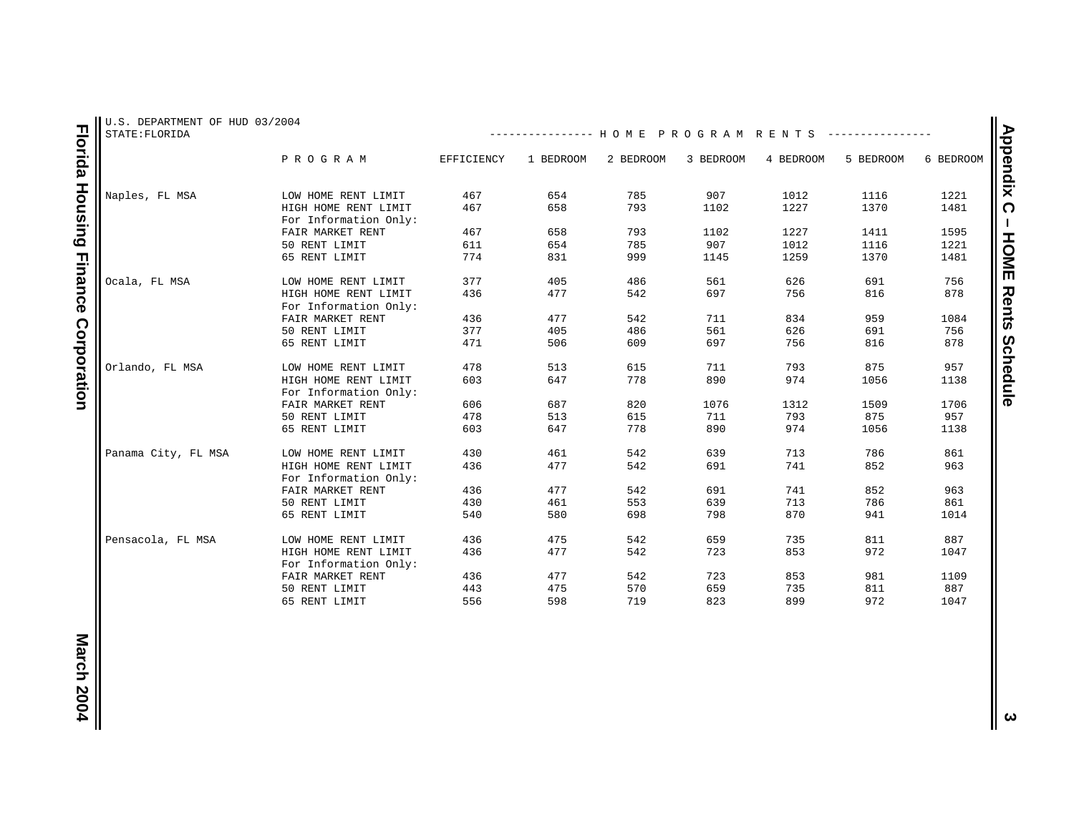| U.S. DEPARTMENT OF HUD 03/2004<br>STATE: FLORIDA |                                               |            | -------------- HOME PROGRAM RENTS |           |           |           |           |           |
|--------------------------------------------------|-----------------------------------------------|------------|-----------------------------------|-----------|-----------|-----------|-----------|-----------|
|                                                  | PROGRAM                                       | EFFICIENCY | 1 BEDROOM                         | 2 BEDROOM | 3 BEDROOM | 4 BEDROOM | 5 BEDROOM | 6 BEDROOM |
| Naples, FL MSA                                   | LOW HOME RENT LIMIT                           | 467        | 654                               | 785       | 907       | 1012      | 1116      | 1221      |
|                                                  |                                               |            |                                   |           |           |           |           |           |
|                                                  | HIGH HOME RENT LIMIT<br>For Information Only: | 467        | 658                               | 793       | 1102      | 1227      | 1370      | 1481      |
|                                                  | FAIR MARKET RENT                              | 467        | 658                               | 793       | 1102      | 1227      | 1411      | 1595      |
|                                                  | 50 RENT LIMIT                                 | 611        | 654                               | 785       | 907       | 1012      | 1116      | 1221      |
|                                                  | 65 RENT LIMIT                                 | 774        | 831                               | 999       | 1145      | 1259      | 1370      | 1481      |
| Ocala, FL MSA                                    | LOW HOME RENT LIMIT                           | 377        | 405                               | 486       | 561       | 626       | 691       | 756       |
|                                                  | HIGH HOME RENT LIMIT                          | 436        | 477                               | 542       | 697       | 756       | 816       | 878       |
|                                                  | For Information Only:                         |            |                                   |           |           |           |           |           |
|                                                  | FAIR MARKET RENT                              | 436        | 477                               | 542       | 711       | 834       | 959       | 1084      |
|                                                  | 50 RENT LIMIT                                 | 377        | 405                               | 486       | 561       | 626       | 691       | 756       |
|                                                  | 65 RENT LIMIT                                 | 471        | 506                               | 609       | 697       | 756       | 816       | 878       |
| Orlando, FL MSA                                  | LOW HOME RENT LIMIT                           | 478        | 513                               | 615       | 711       | 793       | 875       | 957       |
|                                                  | HIGH HOME RENT LIMIT                          | 603        | 647                               | 778       | 890       | 974       | 1056      | 1138      |
|                                                  | For Information Only:                         |            |                                   |           |           |           |           |           |
|                                                  | FAIR MARKET RENT                              | 606        | 687                               | 820       | 1076      | 1312      | 1509      | 1706      |
|                                                  | 50 RENT LIMIT                                 | 478        | 513                               | 615       | 711       | 793       | 875       | 957       |
|                                                  | 65 RENT LIMIT                                 | 603        | 647                               | 778       | 890       | 974       | 1056      | 1138      |
| Panama City, FL MSA                              | LOW HOME RENT LIMIT                           | 430        | 461                               | 542       | 639       | 713       | 786       | 861       |
|                                                  | HIGH HOME RENT LIMIT                          | 436        | 477                               | 542       | 691       | 741       | 852       | 963       |
|                                                  | For Information Only:                         |            |                                   |           |           |           |           |           |
|                                                  | FAIR MARKET RENT                              | 436        | 477                               | 542       | 691       | 741       | 852       | 963       |
|                                                  | 50 RENT LIMIT                                 | 430        | 461                               | 553       | 639       | 713       | 786       | 861       |
|                                                  | 65 RENT LIMIT                                 | 540        | 580                               | 698       | 798       | 870       | 941       | 1014      |
| Pensacola, FL MSA                                | LOW HOME RENT LIMIT                           | 436        | 475                               | 542       | 659       | 735       | 811       | 887       |
|                                                  | HIGH HOME RENT LIMIT                          | 436        | 477                               | 542       | 723       | 853       | 972       | 1047      |
|                                                  | For Information Only:                         |            |                                   |           |           |           |           |           |
|                                                  | FAIR MARKET RENT                              | 436        | 477                               | 542       | 723       | 853       | 981       | 1109      |
|                                                  | 50 RENT LIMIT                                 | 443        | 475                               | 570       | 659       | 735       | 811       | 887       |
|                                                  | 65 RENT LIMIT                                 | 556        | 598                               | 719       | 823       | 899       | 972       |           |
|                                                  |                                               |            |                                   |           |           |           |           | 1047      |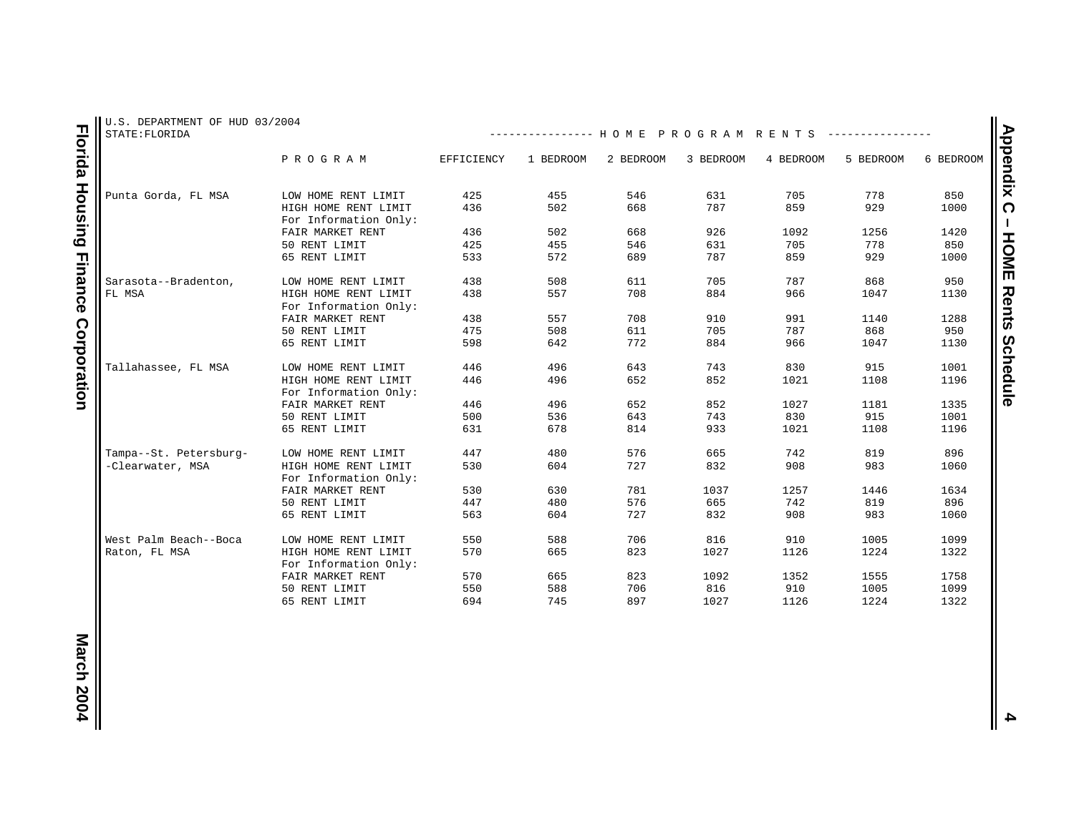| U.S. DEPARTMENT OF HUD 03/2004<br>STATE: FLORIDA |                                               |            | -------------- HOME PROGRAM RENTS |           |           |           |           |           |
|--------------------------------------------------|-----------------------------------------------|------------|-----------------------------------|-----------|-----------|-----------|-----------|-----------|
|                                                  | PROGRAM                                       | EFFICIENCY | 1 BEDROOM                         | 2 BEDROOM | 3 BEDROOM | 4 BEDROOM | 5 BEDROOM | 6 BEDROOM |
| Punta Gorda, FL MSA                              | LOW HOME RENT LIMIT                           | 425        | 455                               | 546       | 631       | 705       | 778       | 850       |
|                                                  | HIGH HOME RENT LIMIT<br>For Information Only: | 436        | 502                               | 668       | 787       | 859       | 929       | 1000      |
|                                                  | FAIR MARKET RENT                              | 436        | 502                               | 668       | 926       | 1092      | 1256      | 1420      |
|                                                  | 50 RENT LIMIT                                 | 425        | 455                               | 546       | 631       | 705       | 778       | 850       |
|                                                  | 65 RENT LIMIT                                 | 533        | 572                               | 689       | 787       | 859       | 929       | 1000      |
| Sarasota--Bradenton,                             | LOW HOME RENT LIMIT                           | 438        | 508                               | 611       | 705       | 787       | 868       | 950       |
| FL MSA                                           | HIGH HOME RENT LIMIT<br>For Information Only: | 438        | 557                               | 708       | 884       | 966       | 1047      | 1130      |
|                                                  | FAIR MARKET RENT                              | 438        | 557                               | 708       | 910       | 991       | 1140      | 1288      |
|                                                  | 50 RENT LIMIT                                 | 475        | 508                               | 611       | 705       | 787       | 868       | 950       |
|                                                  | 65 RENT LIMIT                                 | 598        | 642                               | 772       | 884       | 966       | 1047      | 1130      |
| Tallahassee, FL MSA                              | LOW HOME RENT LIMIT                           | 446        | 496                               | 643       | 743       | 830       | 915       | 1001      |
|                                                  | HIGH HOME RENT LIMIT<br>For Information Only: | 446        | 496                               | 652       | 852       | 1021      | 1108      | 1196      |
|                                                  | FAIR MARKET RENT                              | 446        | 496                               | 652       | 852       | 1027      | 1181      | 1335      |
|                                                  | 50 RENT LIMIT                                 | 500        | 536                               | 643       | 743       | 830       | 915       | 1001      |
|                                                  | 65 RENT LIMIT                                 | 631        | 678                               | 814       | 933       | 1021      | 1108      | 1196      |
| Tampa--St. Petersburg-                           | LOW HOME RENT LIMIT                           | 447        | 480                               | 576       | 665       | 742       | 819       | 896       |
| -Clearwater, MSA                                 | HIGH HOME RENT LIMIT<br>For Information Only: | 530        | 604                               | 727       | 832       | 908       | 983       | 1060      |
|                                                  | FAIR MARKET RENT                              | 530        | 630                               | 781       | 1037      | 1257      | 1446      | 1634      |
|                                                  | 50 RENT LIMIT                                 | 447        | 480                               | 576       | 665       | 742       | 819       | 896       |
|                                                  | 65 RENT LIMIT                                 | 563        | 604                               | 727       | 832       | 908       | 983       | 1060      |
| West Palm Beach--Boca                            | LOW HOME RENT LIMIT                           | 550        | 588                               | 706       | 816       | 910       | 1005      | 1099      |
| Raton, FL MSA                                    | HIGH HOME RENT LIMIT<br>For Information Only: | 570        | 665                               | 823       | 1027      | 1126      | 1224      | 1322      |
|                                                  | FAIR MARKET RENT                              | 570        | 665                               | 823       | 1092      | 1352      | 1555      | 1758      |
|                                                  | 50 RENT LIMIT                                 | 550        | 588                               | 706       | 816       | 910       | 1005      | 1099      |
|                                                  | 65 RENT LIMIT                                 | 694        | 745                               | 897       | 1027      | 1126      | 1224      | 1322      |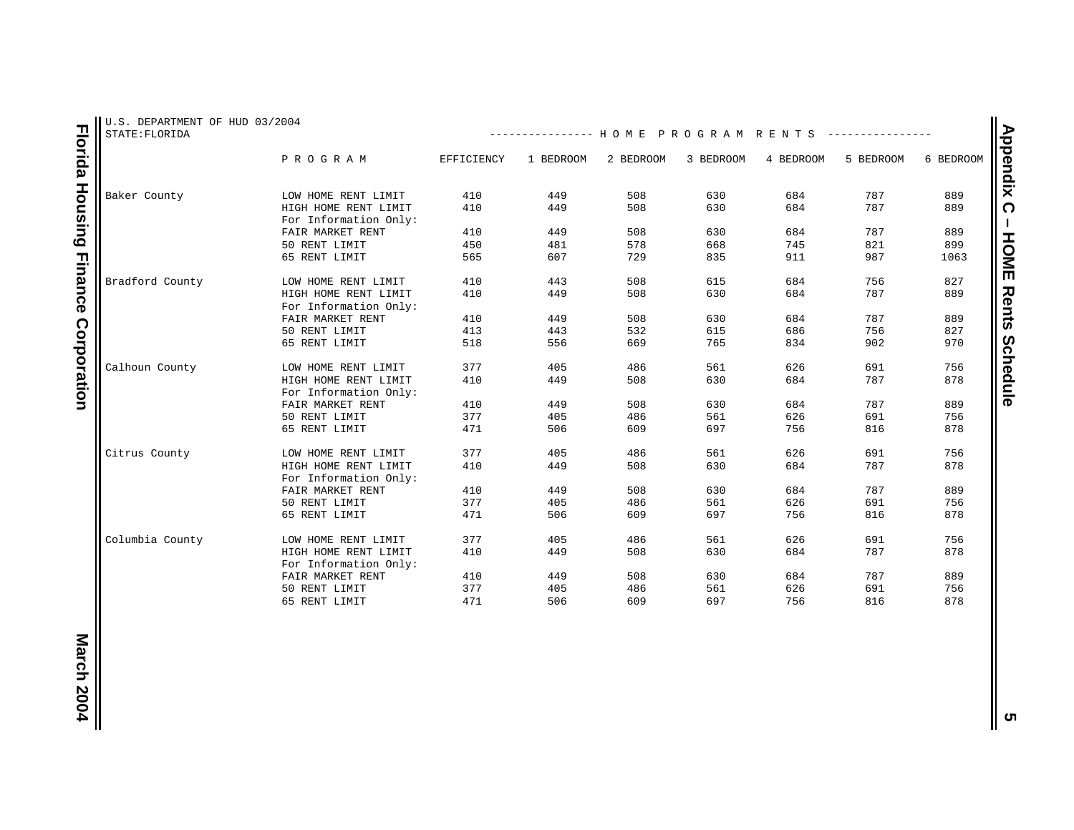| U.S. DEPARTMENT OF HUD 03/2004<br>STATE: FLORIDA |                                               |            | -------------- HOME PROGRAM RENTS |           |           |            |           |           |
|--------------------------------------------------|-----------------------------------------------|------------|-----------------------------------|-----------|-----------|------------|-----------|-----------|
|                                                  | PROGRAM                                       | EFFICIENCY | 1 BEDROOM                         | 2 BEDROOM | 3 BEDROOM | 4 BEDROOM  | 5 BEDROOM | 6 BEDROOM |
| Baker County                                     | LOW HOME RENT LIMIT                           | 410        | 449                               | 508       | 630       | 684        | 787       | 889       |
|                                                  | HIGH HOME RENT LIMIT                          | 410        | 449                               | 508       | 630       | 684        | 787       | 889       |
|                                                  | For Information Only:                         |            |                                   |           |           |            |           |           |
|                                                  | FAIR MARKET RENT                              | 410        | 449                               | 508       | 630       | 684        | 787       | 889       |
|                                                  | 50 RENT LIMIT                                 | 450        | 481                               | 578       | 668       | 745        | 821       | 899       |
|                                                  | 65 RENT LIMIT                                 | 565        | 607                               | 729       | 835       | 911        | 987       | 1063      |
| Bradford County                                  | LOW HOME RENT LIMIT                           | 410        | 443                               | 508       | 615       | 684        | 756       | 827       |
|                                                  | HIGH HOME RENT LIMIT<br>For Information Only: | 410        | 449                               | 508       | 630       | 684        | 787       | 889       |
|                                                  | FAIR MARKET RENT                              | 410        | 449                               | 508       | 630       | 684        | 787       | 889       |
|                                                  | 50 RENT LIMIT                                 | 413        | 443                               | 532       | 615       | 686        | 756       | 827       |
|                                                  | 65 RENT LIMIT                                 | 518        | 556                               | 669       | 765       | 834        | 902       | 970       |
| Calhoun County                                   | LOW HOME RENT LIMIT                           | 377        | 405                               | 486       | 561       | 626        | 691       | 756       |
|                                                  | HIGH HOME RENT LIMIT                          | 410        | 449                               | 508       | 630       | 684        | 787       | 878       |
|                                                  | For Information Only:                         |            |                                   |           |           |            |           |           |
|                                                  | FAIR MARKET RENT                              | 410        | 449                               | 508       | 630       | 684        | 787       | 889       |
|                                                  | 50 RENT LIMIT                                 | 377        | 405                               | 486       | 561       | 626        | 691       | 756       |
|                                                  | 65 RENT LIMIT                                 | 471        | 506                               | 609       | 697       | 756        | 816       | 878       |
| Citrus County                                    | LOW HOME RENT LIMIT                           | 377        | 405                               | 486       | 561       | 626        | 691       | 756       |
|                                                  | HIGH HOME RENT LIMIT<br>For Information Only: | 410        | 449                               | 508       | 630       | 684        | 787       | 878       |
|                                                  | FAIR MARKET RENT                              | 410        | 449                               | 508       | 630       | 684        | 787       | 889       |
|                                                  | 50 RENT LIMIT                                 | 377        | 405                               | 486       | 561       | 626        | 691       | 756       |
|                                                  | 65 RENT LIMIT                                 | 471        | 506                               | 609       | 697       | 756        | 816       | 878       |
| Columbia County                                  | LOW HOME RENT LIMIT                           | 377        | 405                               | 486       | 561       | 626        | 691       | 756       |
|                                                  | HIGH HOME RENT LIMIT                          | 410        | 449                               | 508       | 630       | 684        | 787       | 878       |
|                                                  | For Information Only:<br>FAIR MARKET RENT     | 410        | 449                               | 508       | 630       | 684        | 787       | 889       |
|                                                  |                                               |            |                                   |           |           |            |           |           |
|                                                  | 50 RENT LIMIT                                 | 377        | 405                               | 486       | 561       | 626<br>756 | 691       | 756       |
|                                                  | 65 RENT LIMIT                                 | 471        | 506                               | 609       | 697       |            | 816       | 878       |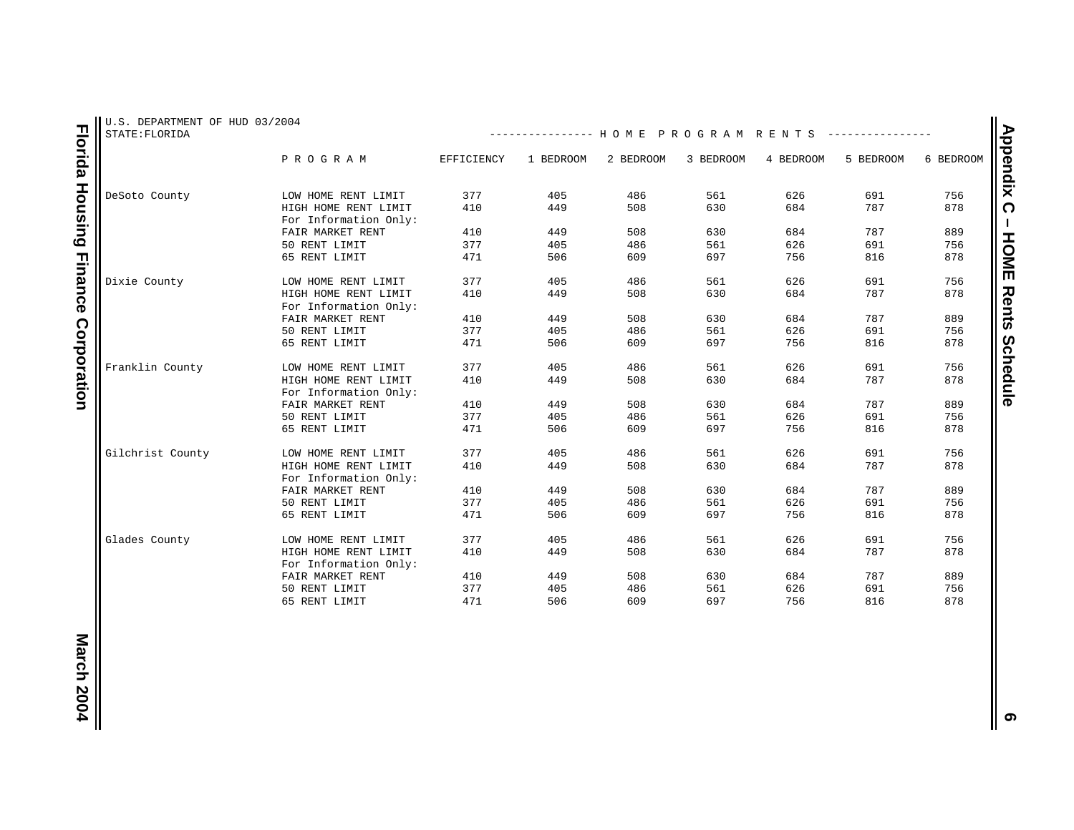| U.S. DEPARTMENT OF HUD 03/2004<br>STATE: FLORIDA | -------------- HOME PROGRAM RENTS             |            |           |           |           |           |           |           |  |  |  |
|--------------------------------------------------|-----------------------------------------------|------------|-----------|-----------|-----------|-----------|-----------|-----------|--|--|--|
|                                                  | PROGRAM                                       | EFFICIENCY | 1 BEDROOM | 2 BEDROOM | 3 BEDROOM | 4 BEDROOM | 5 BEDROOM | 6 BEDROOM |  |  |  |
| DeSoto County                                    | LOW HOME RENT LIMIT                           | 377        | 405       | 486       | 561       | 626       | 691       | 756       |  |  |  |
|                                                  | HIGH HOME RENT LIMIT<br>For Information Only: | 410        | 449       | 508       | 630       | 684       | 787       | 878       |  |  |  |
|                                                  | FAIR MARKET RENT                              | 410        | 449       | 508       | 630       | 684       | 787       | 889       |  |  |  |
|                                                  | 50 RENT LIMIT                                 | 377        | 405       | 486       | 561       | 626       | 691       | 756       |  |  |  |
|                                                  | 65 RENT LIMIT                                 | 471        | 506       | 609       | 697       | 756       | 816       | 878       |  |  |  |
| Dixie County                                     | LOW HOME RENT LIMIT                           | 377        | 405       | 486       | 561       | 626       | 691       | 756       |  |  |  |
|                                                  | HIGH HOME RENT LIMIT<br>For Information Only: | 410        | 449       | 508       | 630       | 684       | 787       | 878       |  |  |  |
|                                                  | FAIR MARKET RENT                              | 410        | 449       | 508       | 630       | 684       | 787       | 889       |  |  |  |
|                                                  | 50 RENT LIMIT                                 | 377        | 405       | 486       | 561       | 626       | 691       | 756       |  |  |  |
|                                                  | 65 RENT LIMIT                                 | 471        | 506       | 609       | 697       | 756       | 816       | 878       |  |  |  |
| Franklin County                                  | LOW HOME RENT LIMIT                           | 377        | 405       | 486       | 561       | 626       | 691       | 756       |  |  |  |
|                                                  | HIGH HOME RENT LIMIT<br>For Information Only: | 410        | 449       | 508       | 630       | 684       | 787       | 878       |  |  |  |
|                                                  | FAIR MARKET RENT                              | 410        | 449       | 508       | 630       | 684       | 787       | 889       |  |  |  |
|                                                  | 50 RENT LIMIT                                 | 377        | 405       | 486       | 561       | 626       | 691       | 756       |  |  |  |
|                                                  | 65 RENT LIMIT                                 | 471        | 506       | 609       | 697       | 756       | 816       | 878       |  |  |  |
| Gilchrist County                                 | LOW HOME RENT LIMIT                           | 377        | 405       | 486       | 561       | 626       | 691       | 756       |  |  |  |
|                                                  | HIGH HOME RENT LIMIT<br>For Information Only: | 410        | 449       | 508       | 630       | 684       | 787       | 878       |  |  |  |
|                                                  | FAIR MARKET RENT                              | 410        | 449       | 508       | 630       | 684       | 787       | 889       |  |  |  |
|                                                  | 50 RENT LIMIT                                 | 377        | 405       | 486       | 561       | 626       | 691       | 756       |  |  |  |
|                                                  | 65 RENT LIMIT                                 | 471        | 506       | 609       | 697       | 756       | 816       | 878       |  |  |  |
| Glades County                                    | LOW HOME RENT LIMIT                           | 377        | 405       | 486       | 561       | 626       | 691       | 756       |  |  |  |
|                                                  | HIGH HOME RENT LIMIT<br>For Information Only: | 410        | 449       | 508       | 630       | 684       | 787       | 878       |  |  |  |
|                                                  | FAIR MARKET RENT                              | 410        | 449       | 508       | 630       | 684       | 787       | 889       |  |  |  |
|                                                  | 50 RENT LIMIT                                 | 377        | 405       | 486       | 561       | 626       | 691       | 756       |  |  |  |
|                                                  | 65 RENT LIMIT                                 | 471        | 506       | 609       | 697       | 756       | 816       | 878       |  |  |  |

**Florida Housing Finance Corporation Florida Housing Finance Corporation** Appendix C - HOME Rents Schedule **Appendix C – HOME Rents Schedule**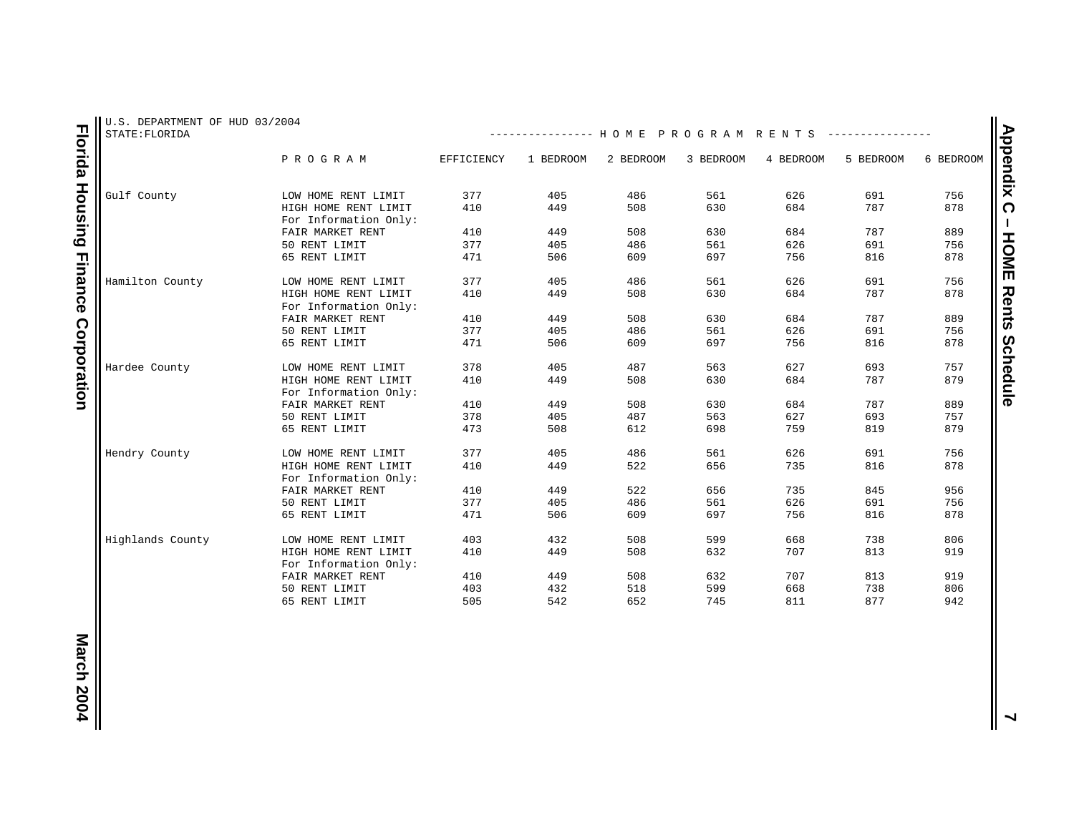| U.S. DEPARTMENT OF HUD 03/2004<br>STATE: FLORIDA |                                               |            | -------------- HOME PROGRAM RENTS |           |           |           |           |           |
|--------------------------------------------------|-----------------------------------------------|------------|-----------------------------------|-----------|-----------|-----------|-----------|-----------|
|                                                  | PROGRAM                                       | EFFICIENCY | 1 BEDROOM                         | 2 BEDROOM | 3 BEDROOM | 4 BEDROOM | 5 BEDROOM | 6 BEDROOM |
| Gulf County                                      | LOW HOME RENT LIMIT                           | 377        | 405                               | 486       | 561       | 626       | 691       | 756       |
|                                                  | HIGH HOME RENT LIMIT<br>For Information Only: | 410        | 449                               | 508       | 630       | 684       | 787       | 878       |
|                                                  | FAIR MARKET RENT                              | 410        | 449                               | 508       | 630       | 684       | 787       | 889       |
|                                                  | 50 RENT LIMIT                                 | 377        | 405                               | 486       | 561       | 626       | 691       | 756       |
|                                                  | 65 RENT LIMIT                                 | 471        | 506                               | 609       | 697       | 756       | 816       | 878       |
| Hamilton County                                  | LOW HOME RENT LIMIT                           | 377        | 405                               | 486       | 561       | 626       | 691       | 756       |
|                                                  | HIGH HOME RENT LIMIT<br>For Information Only: | 410        | 449                               | 508       | 630       | 684       | 787       | 878       |
|                                                  | FAIR MARKET RENT                              | 410        | 449                               | 508       | 630       | 684       | 787       | 889       |
|                                                  | 50 RENT LIMIT                                 | 377        | 405                               | 486       | 561       | 626       | 691       | 756       |
|                                                  | 65 RENT LIMIT                                 | 471        | 506                               | 609       | 697       | 756       | 816       | 878       |
| Hardee County                                    | LOW HOME RENT LIMIT                           | 378        | 405                               | 487       | 563       | 627       | 693       | 757       |
|                                                  | HIGH HOME RENT LIMIT<br>For Information Only: | 410        | 449                               | 508       | 630       | 684       | 787       | 879       |
|                                                  | FAIR MARKET RENT                              | 410        | 449                               | 508       | 630       | 684       | 787       | 889       |
|                                                  | 50 RENT LIMIT                                 | 378        | 405                               | 487       | 563       | 627       | 693       | 757       |
|                                                  | 65 RENT LIMIT                                 | 473        | 508                               | 612       | 698       | 759       | 819       | 879       |
| Hendry County                                    | LOW HOME RENT LIMIT                           | 377        | 405                               | 486       | 561       | 626       | 691       | 756       |
|                                                  | HIGH HOME RENT LIMIT<br>For Information Only: | 410        | 449                               | 522       | 656       | 735       | 816       | 878       |
|                                                  | FAIR MARKET RENT                              | 410        | 449                               | 522       | 656       | 735       | 845       | 956       |
|                                                  | 50 RENT LIMIT                                 | 377        | 405                               | 486       | 561       | 626       | 691       | 756       |
|                                                  | 65 RENT LIMIT                                 | 471        | 506                               | 609       | 697       | 756       | 816       | 878       |
| Highlands County                                 | LOW HOME RENT LIMIT                           | 403        | 432                               | 508       | 599       | 668       | 738       | 806       |
|                                                  | HIGH HOME RENT LIMIT<br>For Information Only: | 410        | 449                               | 508       | 632       | 707       | 813       | 919       |
|                                                  | FAIR MARKET RENT                              | 410        | 449                               | 508       | 632       | 707       | 813       | 919       |
|                                                  | 50 RENT LIMIT                                 | 403        | 432                               | 518       | 599       | 668       | 738       | 806       |
|                                                  | 65 RENT LIMIT                                 | 505        | 542                               | 652       | 745       | 811       | 877       | 942       |

**Florida Housing Finance Corporation Florida Housing Finance Corporation**

**March 20047**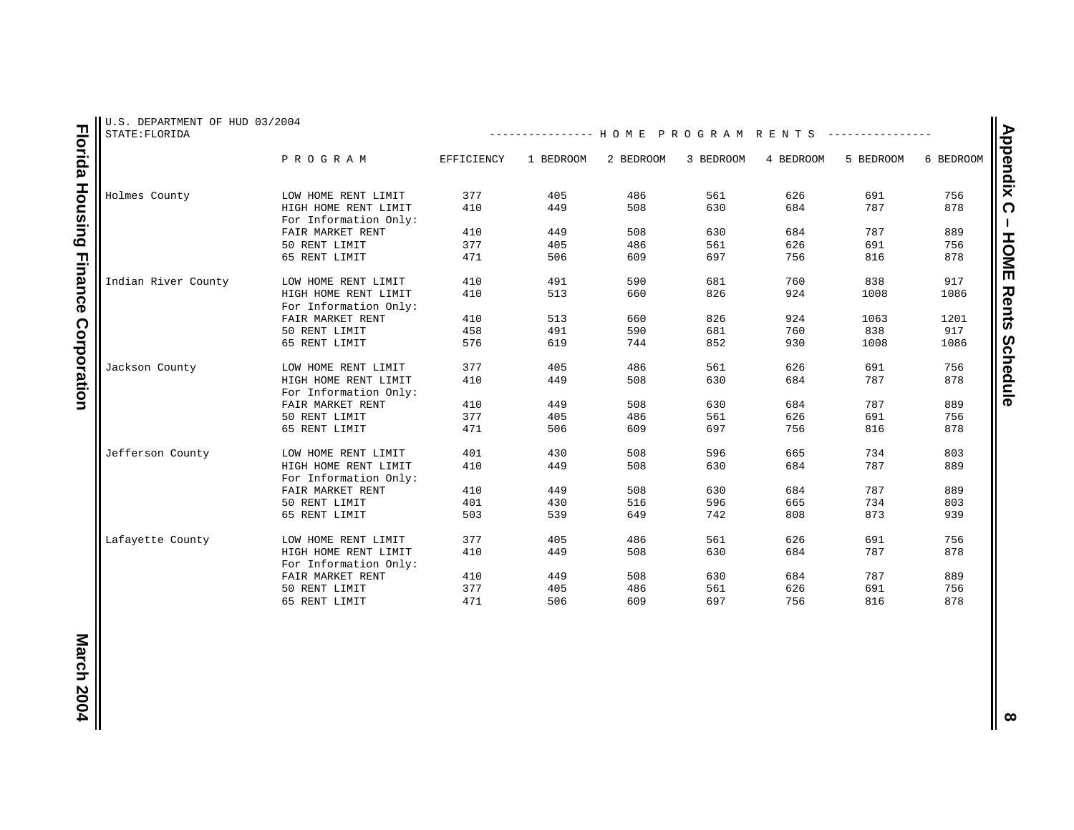| U.S. DEPARTMENT OF HUD 03/2004<br>STATE: FLORIDA |                                               |            | -------------- HOME PROGRAM RENTS |           |           |           |           |           |
|--------------------------------------------------|-----------------------------------------------|------------|-----------------------------------|-----------|-----------|-----------|-----------|-----------|
|                                                  | PROGRAM                                       | EFFICIENCY | 1 BEDROOM                         | 2 BEDROOM | 3 BEDROOM | 4 BEDROOM | 5 BEDROOM | 6 BEDROOM |
| Holmes County                                    | LOW HOME RENT LIMIT                           | 377        | 405                               | 486       | 561       | 626       | 691       | 756       |
|                                                  | HIGH HOME RENT LIMIT<br>For Information Only: | 410        | 449                               | 508       | 630       | 684       | 787       | 878       |
|                                                  | FAIR MARKET RENT                              | 410        | 449                               | 508       | 630       | 684       | 787       | 889       |
|                                                  | 50 RENT LIMIT                                 | 377        | 405                               | 486       | 561       | 626       | 691       | 756       |
|                                                  | 65 RENT LIMIT                                 | 471        | 506                               | 609       | 697       | 756       | 816       | 878       |
|                                                  |                                               |            |                                   |           |           |           |           |           |
| Indian River County                              | LOW HOME RENT LIMIT                           | 410        | 491                               | 590       | 681       | 760       | 838       | 917       |
|                                                  | HIGH HOME RENT LIMIT<br>For Information Only: | 410        | 513                               | 660       | 826       | 924       | 1008      | 1086      |
|                                                  | FAIR MARKET RENT                              | 410        | 513                               | 660       | 826       | 924       | 1063      | 1201      |
|                                                  | 50 RENT LIMIT                                 | 458        | 491                               | 590       | 681       | 760       | 838       | 917       |
|                                                  | 65 RENT LIMIT                                 | 576        | 619                               | 744       | 852       | 930       | 1008      | 1086      |
| Jackson County                                   | LOW HOME RENT LIMIT                           | 377        | 405                               | 486       | 561       | 626       | 691       | 756       |
|                                                  | HIGH HOME RENT LIMIT                          | 410        | 449                               | 508       | 630       | 684       | 787       | 878       |
|                                                  | For Information Only:                         |            |                                   |           |           |           |           |           |
|                                                  | FAIR MARKET RENT                              | 410        | 449                               | 508       | 630       | 684       | 787       | 889       |
|                                                  | 50 RENT LIMIT                                 | 377        | 405                               | 486       | 561       | 626       | 691       | 756       |
|                                                  | 65 RENT LIMIT                                 | 471        | 506                               | 609       | 697       | 756       | 816       | 878       |
| Jefferson County                                 | LOW HOME RENT LIMIT                           | 401        | 430                               | 508       | 596       | 665       | 734       | 803       |
|                                                  | HIGH HOME RENT LIMIT                          | 410        | 449                               | 508       | 630       | 684       | 787       | 889       |
|                                                  | For Information Only:                         |            |                                   |           |           |           |           |           |
|                                                  | FAIR MARKET RENT                              | 410        | 449                               | 508       | 630       | 684       | 787       | 889       |
|                                                  | 50 RENT LIMIT                                 | 401        | 430                               | 516       | 596       | 665       | 734       | 803       |
|                                                  | 65 RENT LIMIT                                 | 503        | 539                               | 649       | 742       | 808       | 873       | 939       |
| Lafayette County                                 | LOW HOME RENT LIMIT                           | 377        | 405                               | 486       | 561       | 626       | 691       | 756       |
|                                                  | HIGH HOME RENT LIMIT                          | 410        | 449                               | 508       | 630       | 684       | 787       | 878       |
|                                                  | For Information Only:                         |            |                                   |           |           |           |           |           |
|                                                  | FAIR MARKET RENT                              | 410        | 449                               | 508       | 630       | 684       | 787       | 889       |
|                                                  | 50 RENT LIMIT                                 | 377        | 405                               | 486       | 561       | 626       | 691       | 756       |
|                                                  | 65 RENT LIMIT                                 | 471        | 506                               | 609       | 697       | 756       | 816       | 878       |

**Florida Housing Finance Corporation Florida Housing Finance Corporation**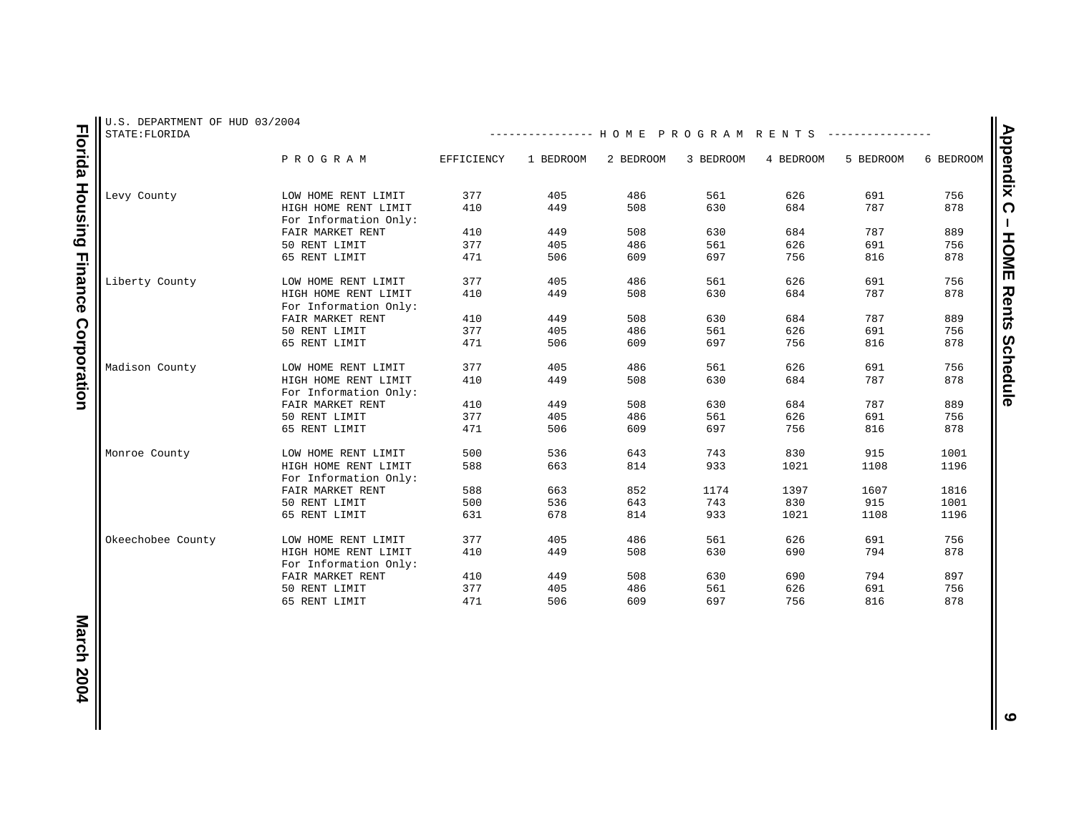| U.S. DEPARTMENT OF HUD 03/2004<br>STATE: FLORIDA |                       |            | -------------- HOME PROGRAM RENTS |           |           |           |           |           |
|--------------------------------------------------|-----------------------|------------|-----------------------------------|-----------|-----------|-----------|-----------|-----------|
|                                                  | PROGRAM               | EFFICIENCY | 1 BEDROOM                         | 2 BEDROOM | 3 BEDROOM | 4 BEDROOM | 5 BEDROOM | 6 BEDROOM |
| Levy County                                      | LOW HOME RENT LIMIT   | 377        | 405                               | 486       | 561       | 626       | 691       | 756       |
|                                                  | HIGH HOME RENT LIMIT  | 410        | 449                               | 508       | 630       | 684       | 787       | 878       |
|                                                  | For Information Only: |            |                                   |           |           |           |           |           |
|                                                  | FAIR MARKET RENT      | 410        | 449                               | 508       | 630       | 684       | 787       | 889       |
|                                                  | 50 RENT LIMIT         | 377        | 405                               | 486       | 561       | 626       | 691       | 756       |
|                                                  | 65 RENT LIMIT         | 471        | 506                               | 609       | 697       | 756       | 816       | 878       |
|                                                  |                       |            |                                   |           |           |           |           |           |
| Liberty County                                   | LOW HOME RENT LIMIT   | 377        | 405                               | 486       | 561       | 626       | 691       | 756       |
|                                                  | HIGH HOME RENT LIMIT  | 410        | 449                               | 508       | 630       | 684       | 787       | 878       |
|                                                  | For Information Only: |            |                                   |           |           |           |           |           |
|                                                  | FAIR MARKET RENT      | 410        | 449                               | 508       | 630       | 684       | 787       | 889       |
|                                                  | 50 RENT LIMIT         | 377        | 405                               | 486       | 561       | 626       | 691       | 756       |
|                                                  | 65 RENT LIMIT         | 471        | 506                               | 609       | 697       | 756       | 816       | 878       |
|                                                  |                       |            |                                   |           |           |           |           |           |
| Madison County                                   | LOW HOME RENT LIMIT   | 377        | 405                               | 486       | 561       | 626       | 691       | 756       |
|                                                  | HIGH HOME RENT LIMIT  | 410        | 449                               | 508       | 630       | 684       | 787       | 878       |
|                                                  | For Information Only: |            |                                   |           |           |           |           |           |
|                                                  | FAIR MARKET RENT      | 410        | 449                               | 508       | 630       | 684       | 787       | 889       |
|                                                  | 50 RENT LIMIT         | 377        | 405                               | 486       | 561       | 626       | 691       | 756       |
|                                                  | 65 RENT LIMIT         | 471        | 506                               | 609       | 697       | 756       | 816       | 878       |
|                                                  |                       |            |                                   |           |           |           |           |           |
| Monroe County                                    | LOW HOME RENT LIMIT   | 500        | 536                               | 643       | 743       | 830       | 915       | 1001      |
|                                                  | HIGH HOME RENT LIMIT  | 588        | 663                               | 814       | 933       | 1021      | 1108      | 1196      |
|                                                  | For Information Only: |            |                                   |           |           |           |           |           |
|                                                  | FAIR MARKET RENT      | 588        | 663                               | 852       | 1174      | 1397      | 1607      | 1816      |
|                                                  | 50 RENT LIMIT         | 500        | 536                               | 643       | 743       | 830       | 915       | 1001      |
|                                                  | 65 RENT LIMIT         | 631        | 678                               | 814       | 933       | 1021      | 1108      | 1196      |
|                                                  |                       |            |                                   |           |           |           |           |           |
| Okeechobee County                                | LOW HOME RENT LIMIT   | 377        | 405                               | 486       | 561       | 626       | 691       | 756       |
|                                                  | HIGH HOME RENT LIMIT  | 410        | 449                               | 508       | 630       | 690       | 794       | 878       |
|                                                  | For Information Only: |            |                                   |           |           |           |           |           |
|                                                  | FAIR MARKET RENT      | 410        | 449                               | 508       | 630       | 690       | 794       | 897       |
|                                                  | 50 RENT LIMIT         | 377        | 405                               | 486       | 561       | 626       | 691       | 756       |
|                                                  | 65 RENT LIMIT         | 471        | 506                               | 609       | 697       | 756       | 816       | 878       |

**9**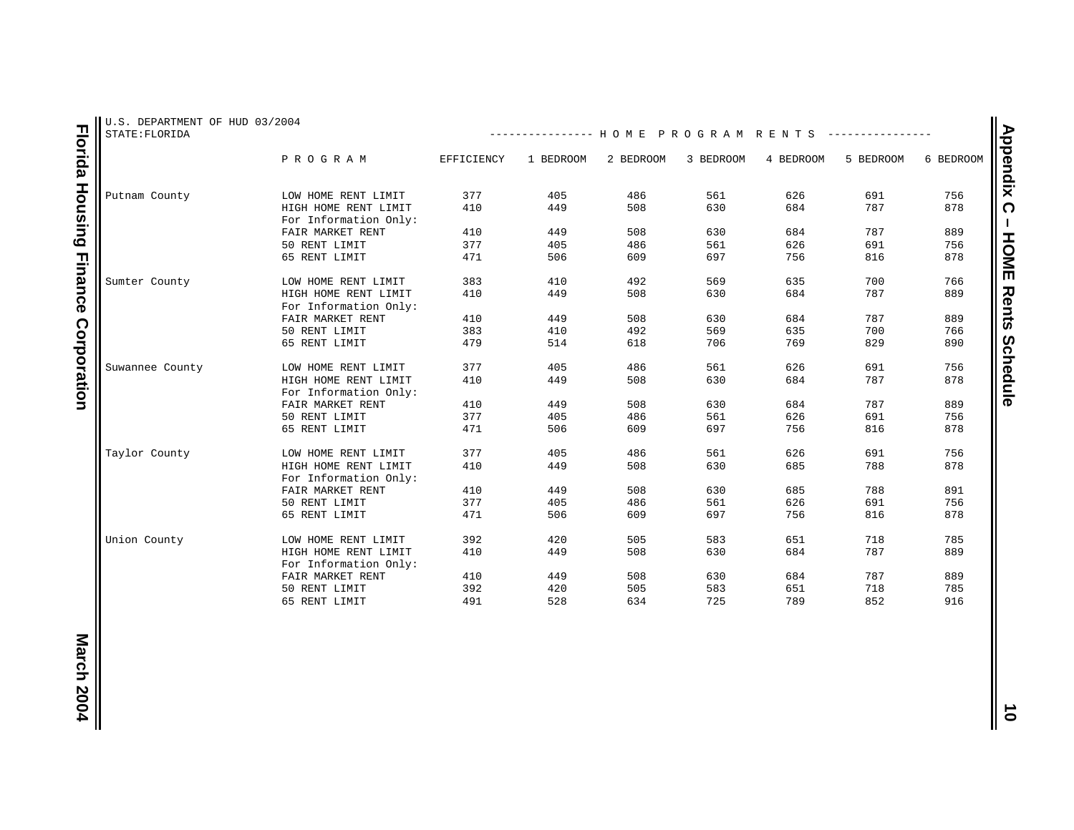| STATE: FLORIDA  | U.S. DEPARTMENT OF HUD 03/2004                |            | -------------- HOME PROGRAM RENTS |           |           |           |           |           |
|-----------------|-----------------------------------------------|------------|-----------------------------------|-----------|-----------|-----------|-----------|-----------|
|                 | PROGRAM                                       | EFFICIENCY | 1 BEDROOM                         | 2 BEDROOM | 3 BEDROOM | 4 BEDROOM | 5 BEDROOM | 6 BEDROOM |
| Putnam County   | LOW HOME RENT LIMIT                           | 377        | 405                               | 486       | 561       | 626       | 691       | 756       |
|                 | HIGH HOME RENT LIMIT<br>For Information Only: | 410        | 449                               | 508       | 630       | 684       | 787       | 878       |
|                 | FAIR MARKET RENT                              | 410        | 449                               | 508       | 630       | 684       | 787       | 889       |
|                 | 50 RENT LIMIT                                 | 377        | 405                               | 486       | 561       | 626       | 691       | 756       |
|                 | 65 RENT LIMIT                                 | 471        | 506                               | 609       | 697       | 756       | 816       | 878       |
| Sumter County   | LOW HOME RENT LIMIT                           | 383        | 410                               | 492       | 569       | 635       | 700       | 766       |
|                 | HIGH HOME RENT LIMIT<br>For Information Only: | 410        | 449                               | 508       | 630       | 684       | 787       | 889       |
|                 | FAIR MARKET RENT                              | 410        | 449                               | 508       | 630       | 684       | 787       | 889       |
|                 | 50 RENT LIMIT                                 | 383        | 410                               | 492       | 569       | 635       | 700       | 766       |
|                 | 65 RENT LIMIT                                 | 479        | 514                               | 618       | 706       | 769       | 829       | 890       |
| Suwannee County | LOW HOME RENT LIMIT                           | 377        | 405                               | 486       | 561       | 626       | 691       | 756       |
|                 | HIGH HOME RENT LIMIT<br>For Information Only: | 410        | 449                               | 508       | 630       | 684       | 787       | 878       |
|                 | FAIR MARKET RENT                              | 410        | 449                               | 508       | 630       | 684       | 787       | 889       |
|                 | 50 RENT LIMIT                                 | 377        | 405                               | 486       | 561       | 626       | 691       | 756       |
|                 | 65 RENT LIMIT                                 | 471        | 506                               | 609       | 697       | 756       | 816       | 878       |
| Taylor County   | LOW HOME RENT LIMIT                           | 377        | 405                               | 486       | 561       | 626       | 691       | 756       |
|                 | HIGH HOME RENT LIMIT<br>For Information Only: | 410        | 449                               | 508       | 630       | 685       | 788       | 878       |
|                 | FAIR MARKET RENT                              | 410        | 449                               | 508       | 630       | 685       | 788       | 891       |
|                 | 50 RENT LIMIT                                 | 377        | 405                               | 486       | 561       | 626       | 691       | 756       |
|                 | 65 RENT LIMIT                                 | 471        | 506                               | 609       | 697       | 756       | 816       | 878       |
| Union County    | LOW HOME RENT LIMIT                           | 392        | 420                               | 505       | 583       | 651       | 718       | 785       |
|                 | HIGH HOME RENT LIMIT<br>For Information Only: | 410        | 449                               | 508       | 630       | 684       | 787       | 889       |
|                 | FAIR MARKET RENT                              | 410        | 449                               | 508       | 630       | 684       | 787       | 889       |
|                 | 50 RENT LIMIT                                 | 392        | 420                               | 505       | 583       | 651       | 718       | 785       |
|                 |                                               |            |                                   |           |           |           |           |           |

**10**<br>**10**<br>**10**